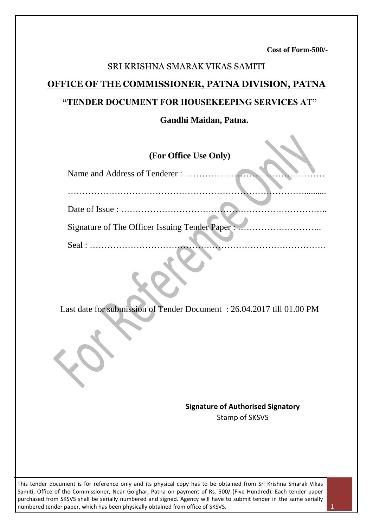**Cost of Form-500/-**

## SRI KRISHNA SMARAK VIKAS SAMITI

### **OFFICE OF THE COMMISSIONER, PATNA DIVISION, PATNA**

### **"TENDER DOCUMENT FOR HOUSEKEEPING SERVICES AT"**

#### **Gandhi Maidan, Patna.**

## **(For Office Use Only)**

| Date of Issue : $\dots \dots \dots \dots \dots \dots \dots \dots \dots \dots$ |  |
|-------------------------------------------------------------------------------|--|
| Signature of The Officer Issuing Tender Paper:                                |  |
|                                                                               |  |
| Seal :                                                                        |  |

Last date for submission of Tender Document : 26.04.2017 till 01.00 PM

**Signature of Authorised Signatory** Stamp of SKSVS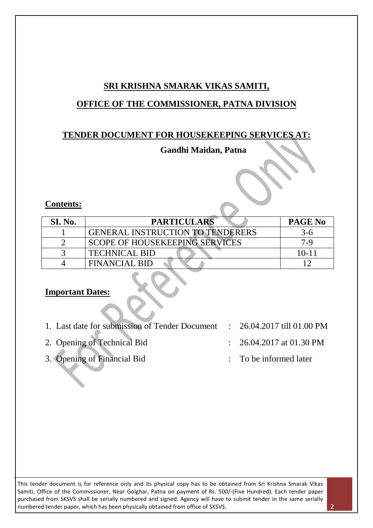## **SRI KRISHNA SMARAK VIKAS SAMITI,**

## **OFFICE OF THE COMMISSIONER, PATNA DIVISION**

## **TENDER DOCUMENT FOR HOUSEKEEPING SERVICES AT:**

## **Gandhi Maidan, Patna**

### **Contents:**

| SI. No. | <b>PARTICULARS</b>                      | <b>PAGE No</b> |
|---------|-----------------------------------------|----------------|
|         | <b>GENERAL INSTRUCTION TO TENDERERS</b> | 3-6            |
|         | <b>SCOPE OF HOUSEKEEPING SERVICES</b>   | 7-9            |
|         | <b>TECHNICAL BID</b>                    | $10 - 11$      |
|         | FINANCIAL BID                           |                |

### **Important Dates:**

- 1. Last date for submission of Tender Document : 26.04.2017 till 01.00 PM
- 2. Opening of Technical Bid : 26.04.2017 at 01.30 PM
- 3. Opening of Financial Bid : To be informed later
- 
- 
-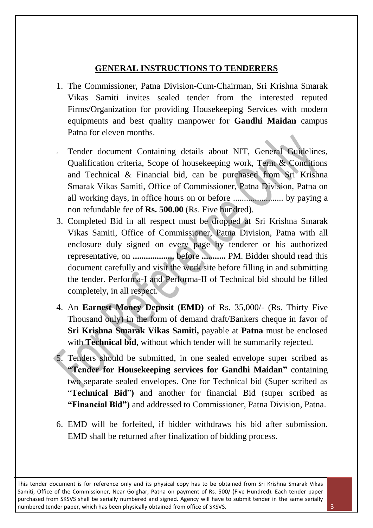### **GENERAL INSTRUCTIONS TO TENDERERS**

- 1. The Commissioner, Patna Division-Cum-Chairman, Sri Krishna Smarak Vikas Samiti invites sealed tender from the interested reputed Firms/Organization for providing Housekeeping Services with modern equipments and best quality manpower for **Gandhi Maidan** campus Patna for eleven months.
- 2. Tender document Containing details about NIT, General Guidelines, Qualification criteria, Scope of housekeeping work, Term & Conditions and Technical & Financial bid, can be purchased from Sri Krishna Smarak Vikas Samiti, Office of Commissioner, Patna Division, Patna on all working days, in office hours on or before ....................... by paying a non refundable fee of **Rs. 500.00** (Rs. Five hundred).
- 3. Completed Bid in all respect must be dropped at Sri Krishna Smarak Vikas Samiti, Office of Commissioner, Patna Division, Patna with all enclosure duly signed on every page by tenderer or his authorized representative, on **...................** before **...........** PM. Bidder should read this document carefully and visit the work site before filling in and submitting the tender. Performa-I and Performa-II of Technical bid should be filled completely, in all respect.
- 4. An **Earnest Money Deposit (EMD)** of Rs. 35,000/- (Rs. Thirty Five Thousand only) in the form of demand draft/Bankers cheque in favor of **Sri Krishna Smarak Vikas Samiti,** payable at **Patna** must be enclosed with **Technical bid**, without which tender will be summarily rejected.
- 5. Tenders should be submitted, in one sealed envelope super scribed as **"Tender for Housekeeping services for Gandhi Maidan"** containing two separate sealed envelopes. One for Technical bid (Super scribed as "**Technical Bid**"**)** and another for financial Bid (super scribed as **"Financial Bid")** and addressed to Commissioner, Patna Division, Patna.
- 6. EMD will be forfeited, if bidder withdraws his bid after submission. EMD shall be returned after finalization of bidding process.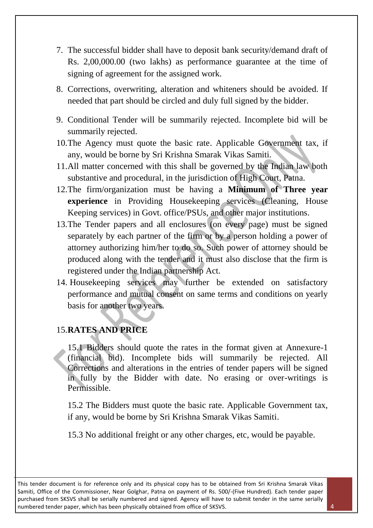- 7. The successful bidder shall have to deposit bank security/demand draft of Rs. 2,00,000.00 (two lakhs) as performance guarantee at the time of signing of agreement for the assigned work.
- 8. Corrections, overwriting, alteration and whiteners should be avoided. If needed that part should be circled and duly full signed by the bidder.
- 9. Conditional Tender will be summarily rejected. Incomplete bid will be summarily rejected.
- 10.The Agency must quote the basic rate. Applicable Government tax, if any, would be borne by Sri Krishna Smarak Vikas Samiti.
- 11.All matter concerned with this shall be governed by the Indian law both substantive and procedural, in the jurisdiction of High Court, Patna.
- 12.The firm/organization must be having a **Minimum of Three year experience** in Providing Housekeeping services (Cleaning, House Keeping services) in Govt. office/PSUs, and other major institutions.
- 13.The Tender papers and all enclosures (on every page) must be signed separately by each partner of the firm or by a person holding a power of attorney authorizing him/her to do so. Such power of attorney should be produced along with the tender and it must also disclose that the firm is registered under the Indian partnership Act.
- 14. Housekeeping services may further be extended on satisfactory performance and mutual consent on same terms and conditions on yearly basis for another two years.

### 15.**RATES AND PRICE**

15.1 Bidders should quote the rates in the format given at Annexure-1 (financial bid). Incomplete bids will summarily be rejected. All Corrections and alterations in the entries of tender papers will be signed in fully by the Bidder with date. No erasing or over-writings is Permissible.

15.2 The Bidders must quote the basic rate. Applicable Government tax, if any, would be borne by Sri Krishna Smarak Vikas Samiti.

15.3 No additional freight or any other charges, etc, would be payable.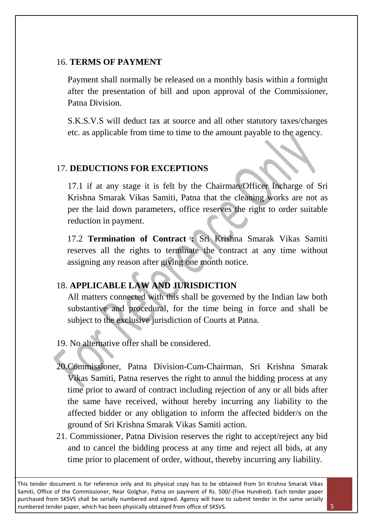### 16. **TERMS OF PAYMENT**

Payment shall normally be released on a monthly basis within a fortnight after the presentation of bill and upon approval of the Commissioner, Patna Division.

S.K.S.V.S will deduct tax at source and all other statutory taxes/charges etc. as applicable from time to time to the amount payable to the agency.

## 17. **DEDUCTIONS FOR EXCEPTIONS**

17.1 if at any stage it is felt by the Chairman/Officer Incharge of Sri Krishna Smarak Vikas Samiti, Patna that the cleaning works are not as per the laid down parameters, office reserves the right to order suitable reduction in payment.

 17.2 **Termination of Contract :** Sri Krishna Smarak Vikas Samiti reserves all the rights to terminate the contract at any time without assigning any reason after giving one month notice.

## 18. **APPLICABLE LAW AND JURISDICTION**

All matters connected with this shall be governed by the Indian law both substantive and procedural, for the time being in force and shall be subject to the exclusive jurisdiction of Courts at Patna.

19. No alternative offer shall be considered.

- 20.Commissioner, Patna Division-Cum-Chairman, Sri Krishna Smarak Vikas Samiti, Patna reserves the right to annul the bidding process at any time prior to award of contract including rejection of any or all bids after the same have received, without hereby incurring any liability to the affected bidder or any obligation to inform the affected bidder/s on the ground of Sri Krishna Smarak Vikas Samiti action.
- 21. Commissioner, Patna Division reserves the right to accept/reject any bid and to cancel the bidding process at any time and reject all bids, at any time prior to placement of order, without, thereby incurring any liability.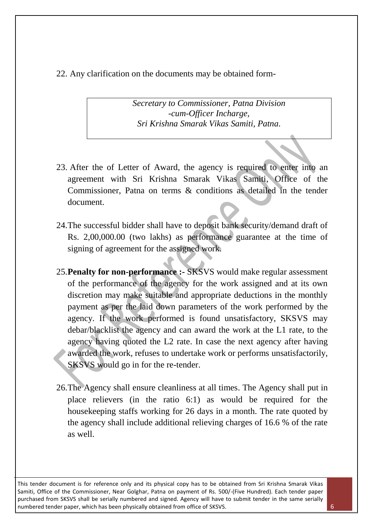### 22. Any clarification on the documents may be obtained form-

*Secretary to Commissioner, Patna Division -cum-Officer Incharge, Sri Krishna Smarak Vikas Samiti, Patna.*

- 23. After the of Letter of Award, the agency is required to enter into an agreement with Sri Krishna Smarak Vikas Samiti, Office of the Commissioner, Patna on terms & conditions as detailed in the tender document.
- 24.The successful bidder shall have to deposit bank security/demand draft of Rs. 2,00,000.00 (two lakhs) as performance guarantee at the time of signing of agreement for the assigned work.
- 25.**Penalty for non-performance :-** SKSVS would make regular assessment of the performance of the agency for the work assigned and at its own discretion may make suitable and appropriate deductions in the monthly payment as per the laid down parameters of the work performed by the agency. If the work performed is found unsatisfactory, SKSVS may debar/blacklist the agency and can award the work at the L1 rate, to the agency having quoted the L2 rate. In case the next agency after having awarded the work, refuses to undertake work or performs unsatisfactorily, SKSVS would go in for the re-tender.
- 26.The Agency shall ensure cleanliness at all times. The Agency shall put in place relievers (in the ratio 6:1) as would be required for the housekeeping staffs working for 26 days in a month. The rate quoted by the agency shall include additional relieving charges of 16.6 % of the rate as well.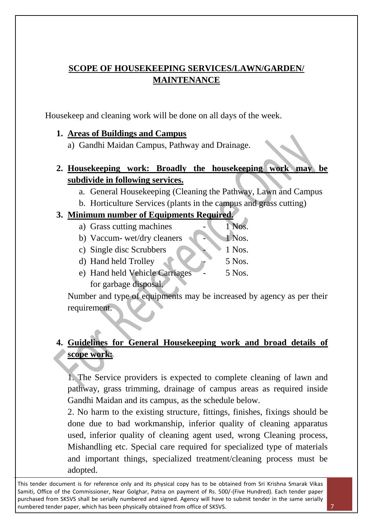## **SCOPE OF HOUSEKEEPING SERVICES/LAWN/GARDEN/ MAINTENANCE**

Housekeep and cleaning work will be done on all days of the week.

## **1. Areas of Buildings and Campus**

a) Gandhi Maidan Campus, Pathway and Drainage.

## **2. Housekeeping work: Broadly the housekeeping work may be subdivide in following services.**

- a. General Housekeeping (Cleaning the Pathway, Lawn and Campus
- b. Horticulture Services (plants in the campus and grass cutting)

## **3. Minimum number of Equipments Required.**

- a) Grass cutting machines 1 Nos.
- b) Vaccum- wet/dry cleaners 1 Nos.
- c) Single disc Scrubbers  $\sim$  1 Nos.
- d) Hand held Trolley  $\sim$  5 Nos.
- e) Hand held Vehicle Carriages 5 Nos. for garbage disposal.

Number and type of equipments may be increased by agency as per their requirement.

## **4. Guidelines for General Housekeeping work and broad details of scope work:**

1. The Service providers is expected to complete cleaning of lawn and pathway, grass trimming, drainage of campus areas as required inside Gandhi Maidan and its campus, as the schedule below.

2. No harm to the existing structure, fittings, finishes, fixings should be done due to bad workmanship, inferior quality of cleaning apparatus used, inferior quality of cleaning agent used, wrong Cleaning process, Mishandling etc. Special care required for specialized type of materials and important things, specialized treatment/cleaning process must be adopted.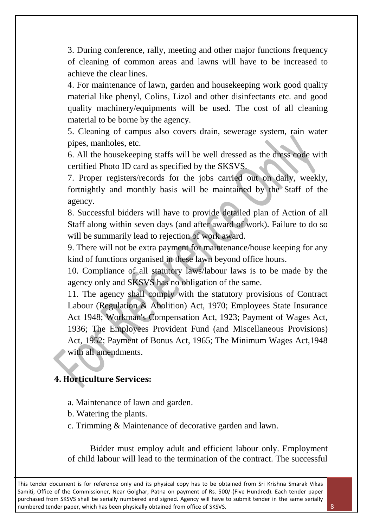3. During conference, rally, meeting and other major functions frequency of cleaning of common areas and lawns will have to be increased to achieve the clear lines.

4. For maintenance of lawn, garden and housekeeping work good quality material like phenyl, Colins, Lizol and other disinfectants etc. and good quality machinery/equipments will be used. The cost of all cleaning material to be borne by the agency.

5. Cleaning of campus also covers drain, sewerage system, rain water pipes, manholes, etc.

6. All the housekeeping staffs will be well dressed as the dress code with certified Photo ID card as specified by the SKSVS.

7. Proper registers/records for the jobs carried out on daily, weekly, fortnightly and monthly basis will be maintained by the Staff of the agency.

8. Successful bidders will have to provide detailed plan of Action of all Staff along within seven days (and after award of work). Failure to do so will be summarily lead to rejection of work award.

9. There will not be extra payment for maintenance/house keeping for any kind of functions organised in these lawn beyond office hours.

10. Compliance of all statutory laws/labour laws is to be made by the agency only and SKSVS has no obligation of the same.

11. The agency shall comply with the statutory provisions of Contract Labour (Regulation & Abolition) Act, 1970; Employees State Insurance Act 1948; Workman's Compensation Act, 1923; Payment of Wages Act, 1936; The Employees Provident Fund (and Miscellaneous Provisions) Act, 1952; Payment of Bonus Act, 1965; The Minimum Wages Act,1948 with all amendments.

### **4. Horticulture Services:**

- a. Maintenance of lawn and garden.
- b. Watering the plants.
- c. Trimming & Maintenance of decorative garden and lawn.

Bidder must employ adult and efficient labour only. Employment of child labour will lead to the termination of the contract. The successful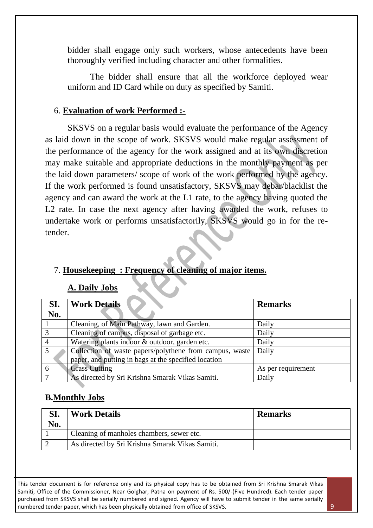bidder shall engage only such workers, whose antecedents have been thoroughly verified including character and other formalities.

The bidder shall ensure that all the workforce deployed wear uniform and ID Card while on duty as specified by Samiti.

#### 6. **Evaluation of work Performed :-**

SKSVS on a regular basis would evaluate the performance of the Agency as laid down in the scope of work. SKSVS would make regular assessment of the performance of the agency for the work assigned and at its own discretion may make suitable and appropriate deductions in the monthly payment as per the laid down parameters/ scope of work of the work performed by the agency. If the work performed is found unsatisfactory, SKSVS may debar/blacklist the agency and can award the work at the L1 rate, to the agency having quoted the L2 rate. In case the next agency after having awarded the work, refuses to undertake work or performs unsatisfactorily, SKSVS would go in for the retender.

#### 7. **Housekeeping : Frequency of cleaning of major items.**

#### **A. Daily Jobs**

| SI.           | <b>Work Details</b>                                     | <b>Remarks</b>     |
|---------------|---------------------------------------------------------|--------------------|
| No.           |                                                         |                    |
|               | Cleaning, of Main Pathway, lawn and Garden.             | Daily              |
| $\mathcal{R}$ | Cleaning of campus, disposal of garbage etc.            | Daily              |
|               | Watering plants indoor & outdoor, garden etc.           | Daily              |
|               | Collection of waste papers/polythene from campus, waste | Daily              |
|               | paper, and putting in bags at the specified location    |                    |
|               | <b>Grass Cutting</b>                                    | As per requirement |
|               | As directed by Sri Krishna Smarak Vikas Samiti.         | Daily              |

#### **B.Monthly Jobs**

|     | <b>Work Details</b>                             | <b>Remarks</b> |
|-----|-------------------------------------------------|----------------|
| No. |                                                 |                |
|     | Cleaning of manholes chambers, sewer etc.       |                |
|     | As directed by Sri Krishna Smarak Vikas Samiti. |                |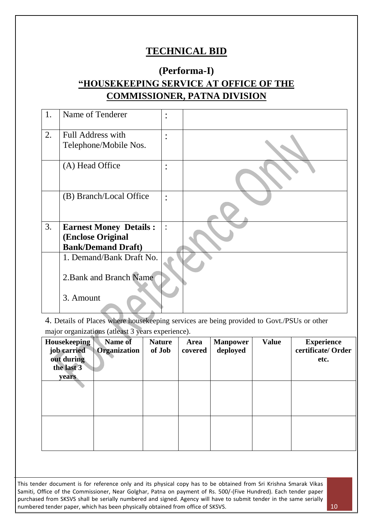## **TECHNICAL BID**

# **(Performa-I) "HOUSEKEEPING SERVICE AT OFFICE OF THE COMMISSIONER, PATNA DIVISION**

| 1. | Name of Tenderer              | $\bullet$<br>$\bullet$ |  |
|----|-------------------------------|------------------------|--|
| 2. | Full Address with             | $\ddot{\phantom{a}}$   |  |
|    | Telephone/Mobile Nos.         |                        |  |
|    | (A) Head Office               | $\bullet$<br>$\bullet$ |  |
|    | (B) Branch/Local Office       | $\bullet$<br>$\bullet$ |  |
| 3. | <b>Earnest Money Details:</b> | $\ddot{\cdot}$         |  |
|    | <b>(Enclose Original</b>      |                        |  |
|    | <b>Bank/Demand Draft)</b>     |                        |  |
|    | 1. Demand/Bank Draft No.      |                        |  |
|    | 2. Bank and Branch Name       |                        |  |
|    | 3. Amount                     |                        |  |

4. Details of Places where housekeeping services are being provided to Govt./PSUs or other major organizations (atleast 3 years experience).

| Housekeeping<br>job carried<br>out during<br>the last 3<br>years | Name of<br><b>Organization</b> | <b>Nature</b><br>of Job | Area<br>covered | <b>Manpower</b><br>deployed | <b>Value</b> | <b>Experience</b><br>certificate/Order<br>etc. |
|------------------------------------------------------------------|--------------------------------|-------------------------|-----------------|-----------------------------|--------------|------------------------------------------------|
|                                                                  |                                |                         |                 |                             |              |                                                |
|                                                                  |                                |                         |                 |                             |              |                                                |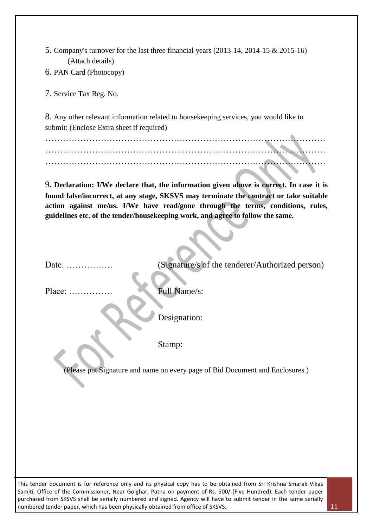| 5. Company's turnover for the last three financial years $(2013-14, 2014-15 \& 2015-16)$ |  |  |
|------------------------------------------------------------------------------------------|--|--|
| (Attach details)                                                                         |  |  |

6. PAN Card (Photocopy)

7. Service Tax Reg. No.

8. Any other relevant information related to housekeeping services, you would like to submit: (Enclose Extra sheet if required)

…………………………………………………………………………………… …………………………………………………………………………………… ……………………………………………………………………………………

9**. Declaration: I/We declare that, the information given above is correct. In case it is found false/incorrect, at any stage, SKSVS may terminate the contract or take suitable action against me/us. I/We have read/gone through the terms, conditions, rules, guidelines etc. of the tender/housekeeping work, and agree to follow the same.**

| Date:<br>. <b>. <b>.</b></b> | (Signature/s of the tenderer/Authorized person) |
|------------------------------|-------------------------------------------------|
|                              |                                                 |
| $Place: \ldots$              | Full Name/s:                                    |
|                              |                                                 |
|                              | Designation:                                    |
|                              |                                                 |
|                              | Stamp:                                          |
|                              |                                                 |

(Please put Signature and name on every page of Bid Document and Enclosures.)